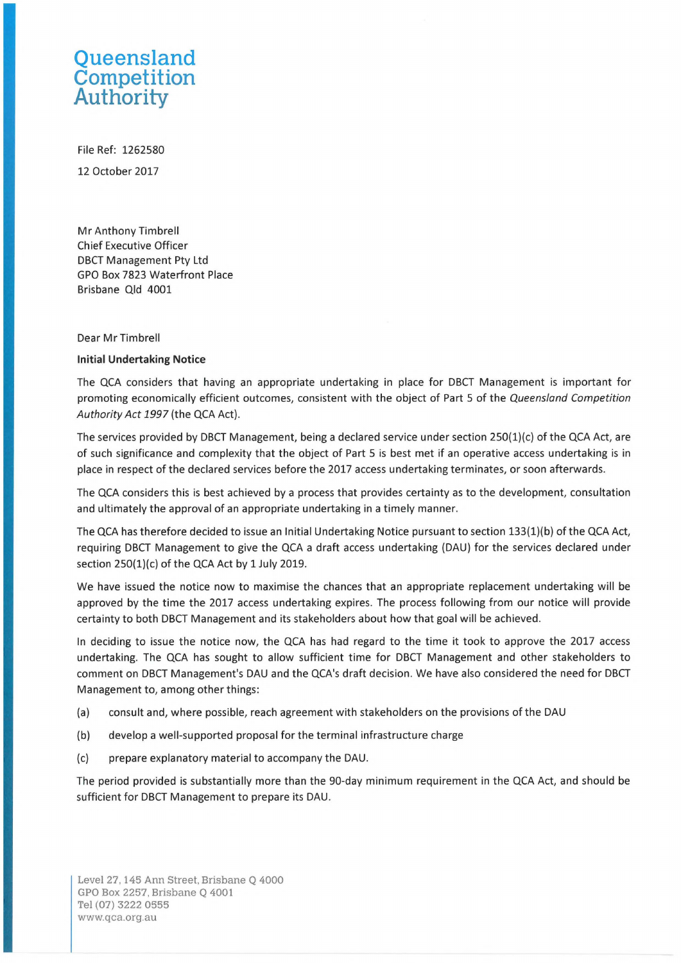## **Queensland Competition Authority**

File Ref: 1262580 12 October 2017

Mr Anthony Timbrel! Chief Executive Officer DBCT Management Pty Ltd GPO Box 7823 Waterfront Place Brisbane Qld 4001

## Dear Mr Timbrel!

## **Initial Undertaking Notice**

The QCA considers that having an appropriate undertaking in place for DBCT Management is important for promoting economically efficient outcomes, consistent with the object of Part 5 of the Queensland Competition Authority Act 1997 (the QCA Act).

The services provided by DBCT Management, being a declared service under section 250(1)(c) of the QCA Act, are of such significance and complexity that the object of Part 5 is best met if an operative access undertaking is in place in respect of the declared services before the 2017 access undertaking terminates, or soon afterwards.

The QCA considers this is best achieved by a process that provides certainty as to the development, consultation and ultimately the approval of an appropriate undertaking in a timely manner.

The QCA has therefore decided to issue an Initial Undertaking Notice pursuant to section 133(1)(b) of the QCA Act, requiring DBCT Management to give the QCA a draft access undertaking (DAU) for the services declared under section 250(1)(c) of the QCA Act by 1 July 2019.

We have issued the notice now to maximise the chances that an appropriate replacement undertaking will be approved by the time the 2017 access undertaking expires. The process following from our notice will provide certainty to both DBCT Management and its stakeholders about how that goal will be achieved.

In deciding to issue the notice now, the QCA has had regard to the time it took to approve the 2017 access undertaking. The QCA has sought to allow sufficient time for DBCT Management and other stakeholders to comment on DBCT Management's DAU and the QCA's draft decision. We have also considered the need for DBCT Management to, among other things:

- (a) consult and, where possible, reach agreement with stakeholders on the provisions of the DAU
- (b) develop a well-supported proposal for the terminal infrastructure charge
- (c) prepare explanatory material to accompany the DAU.

The period provided is substantially more than the 90-day minimum requirement in the QCA Act, and should be sufficient for DBCT Management to prepare its DAU.